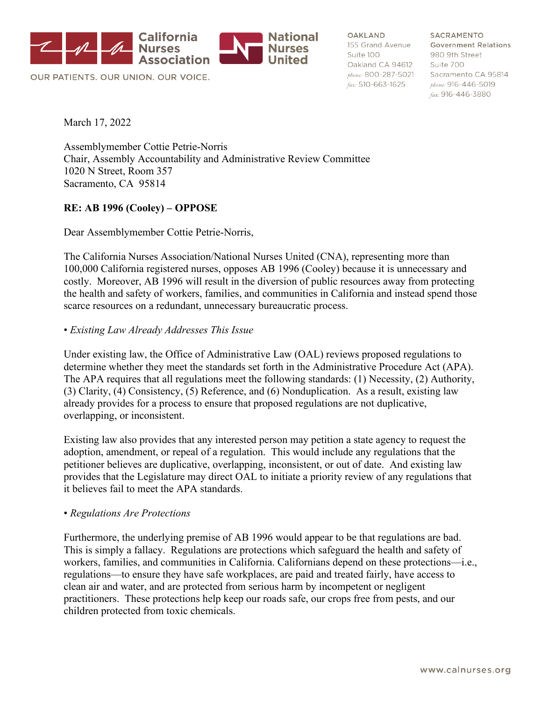

OUR PATIENTS. OUR UNION. OUR VOICE.

OAKLAND Suite 100 Oakland CA 94612 Suite 700 fax: 510-663-1625

SACRAMENTO 155 Grand Avenue Government Relations 980 9th Street phone: 800-287-5021 Sacramento CA 95814 phone: 916-446-5019 fax: 916-446-3880

March 17, 2022

Assemblymember Cottie Petrie-Norris Chair, Assembly Accountability and Administrative Review Committee 1020 N Street, Room 357 Sacramento, CA 95814

### **RE: AB 1996 (Cooley) – OPPOSE**

Dear Assemblymember Cottie Petrie-Norris,

The California Nurses Association/National Nurses United (CNA), representing more than 100,000 California registered nurses, opposes AB 1996 (Cooley) because it is unnecessary and costly. Moreover, AB 1996 will result in the diversion of public resources away from protecting the health and safety of workers, families, and communities in California and instead spend those scarce resources on a redundant, unnecessary bureaucratic process.

#### • *Existing Law Already Addresses This Issue*

Under existing law, the Office of Administrative Law (OAL) reviews proposed regulations to determine whether they meet the standards set forth in the Administrative Procedure Act (APA). The APA requires that all regulations meet the following standards: (1) Necessity, (2) Authority, (3) Clarity, (4) Consistency, (5) Reference, and (6) Nonduplication. As a result, existing law already provides for a process to ensure that proposed regulations are not duplicative, overlapping, or inconsistent.

Existing law also provides that any interested person may petition a state agency to request the adoption, amendment, or repeal of a regulation. This would include any regulations that the petitioner believes are duplicative, overlapping, inconsistent, or out of date. And existing law provides that the Legislature may direct OAL to initiate a priority review of any regulations that it believes fail to meet the APA standards.

### • *Regulations Are Protections*

Furthermore, the underlying premise of AB 1996 would appear to be that regulations are bad. This is simply a fallacy. Regulations are protections which safeguard the health and safety of workers, families, and communities in California. Californians depend on these protections—i.e., regulations—to ensure they have safe workplaces, are paid and treated fairly, have access to clean air and water, and are protected from serious harm by incompetent or negligent practitioners. These protections help keep our roads safe, our crops free from pests, and our children protected from toxic chemicals.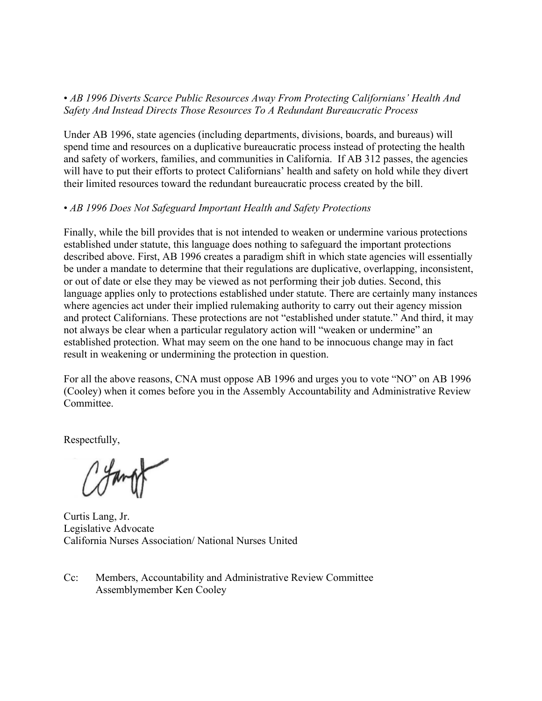## • *AB 1996 Diverts Scarce Public Resources Away From Protecting Californians' Health And Safety And Instead Directs Those Resources To A Redundant Bureaucratic Process*

Under AB 1996, state agencies (including departments, divisions, boards, and bureaus) will spend time and resources on a duplicative bureaucratic process instead of protecting the health and safety of workers, families, and communities in California. If AB 312 passes, the agencies will have to put their efforts to protect Californians' health and safety on hold while they divert their limited resources toward the redundant bureaucratic process created by the bill.

## • *AB 1996 Does Not Safeguard Important Health and Safety Protections*

Finally, while the bill provides that is not intended to weaken or undermine various protections established under statute, this language does nothing to safeguard the important protections described above. First, AB 1996 creates a paradigm shift in which state agencies will essentially be under a mandate to determine that their regulations are duplicative, overlapping, inconsistent, or out of date or else they may be viewed as not performing their job duties. Second, this language applies only to protections established under statute. There are certainly many instances where agencies act under their implied rulemaking authority to carry out their agency mission and protect Californians. These protections are not "established under statute." And third, it may not always be clear when a particular regulatory action will "weaken or undermine" an established protection. What may seem on the one hand to be innocuous change may in fact result in weakening or undermining the protection in question.

For all the above reasons, CNA must oppose AB 1996 and urges you to vote "NO" on AB 1996 (Cooley) when it comes before you in the Assembly Accountability and Administrative Review Committee.

Respectfully,

Curtis Lang, Jr. Legislative Advocate California Nurses Association/ National Nurses United

Cc: Members, Accountability and Administrative Review Committee Assemblymember Ken Cooley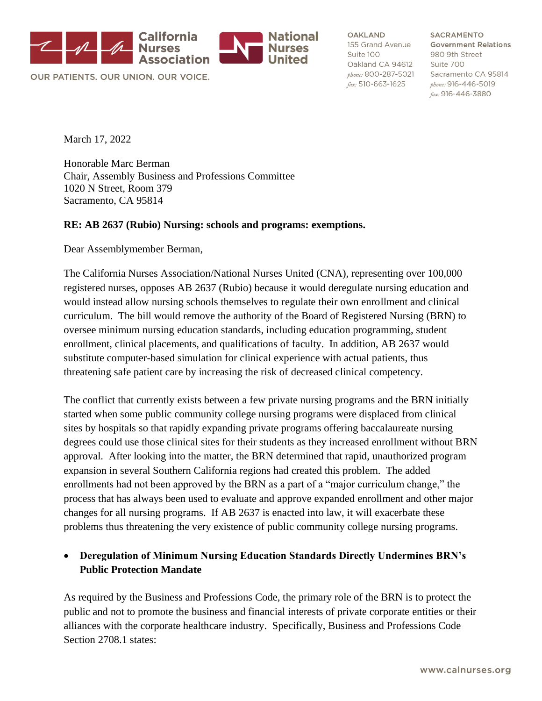

OUR PATIENTS, OUR UNION, OUR VOICE.

OAKLAND 155 Grand Avenue Suite 100 Oakland CA 94612 phone: 800-287-5021 fax: 510-663-1625

**SACRAMENTO Government Relations** 980 9th Street Suite 700 Sacramento CA 95814 phone: 916-446-5019 fax: 916-446-3880

March 17, 2022

Honorable Marc Berman Chair, Assembly Business and Professions Committee 1020 N Street, Room 379 Sacramento, CA 95814

#### **RE: AB 2637 (Rubio) Nursing: schools and programs: exemptions.**

Dear Assemblymember Berman,

The California Nurses Association/National Nurses United (CNA), representing over 100,000 registered nurses, opposes AB 2637 (Rubio) because it would deregulate nursing education and would instead allow nursing schools themselves to regulate their own enrollment and clinical curriculum. The bill would remove the authority of the Board of Registered Nursing (BRN) to oversee minimum nursing education standards, including education programming, student enrollment, clinical placements, and qualifications of faculty. In addition, AB 2637 would substitute computer-based simulation for clinical experience with actual patients, thus threatening safe patient care by increasing the risk of decreased clinical competency.

The conflict that currently exists between a few private nursing programs and the BRN initially started when some public community college nursing programs were displaced from clinical sites by hospitals so that rapidly expanding private programs offering baccalaureate nursing degrees could use those clinical sites for their students as they increased enrollment without BRN approval. After looking into the matter, the BRN determined that rapid, unauthorized program expansion in several Southern California regions had created this problem. The added enrollments had not been approved by the BRN as a part of a "major curriculum change," the process that has always been used to evaluate and approve expanded enrollment and other major changes for all nursing programs. If AB 2637 is enacted into law, it will exacerbate these problems thus threatening the very existence of public community college nursing programs.

## • **Deregulation of Minimum Nursing Education Standards Directly Undermines BRN's Public Protection Mandate**

As required by the Business and Professions Code, the primary role of the BRN is to protect the public and not to promote the business and financial interests of private corporate entities or their alliances with the corporate healthcare industry. Specifically, Business and Professions Code Section 2708.1 states: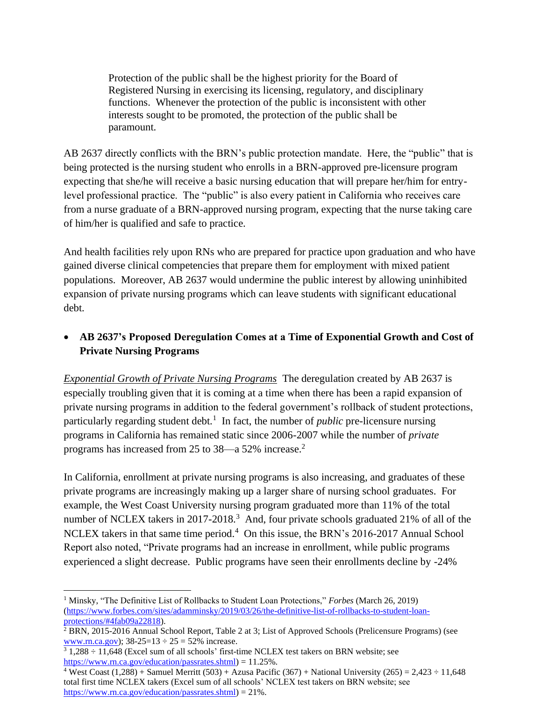Protection of the public shall be the highest priority for the Board of Registered Nursing in exercising its licensing, regulatory, and disciplinary functions. Whenever the protection of the public is inconsistent with other interests sought to be promoted, the protection of the public shall be paramount.

AB 2637 directly conflicts with the BRN's public protection mandate. Here, the "public" that is being protected is the nursing student who enrolls in a BRN-approved pre-licensure program expecting that she/he will receive a basic nursing education that will prepare her/him for entrylevel professional practice. The "public" is also every patient in California who receives care from a nurse graduate of a BRN-approved nursing program, expecting that the nurse taking care of him/her is qualified and safe to practice.

And health facilities rely upon RNs who are prepared for practice upon graduation and who have gained diverse clinical competencies that prepare them for employment with mixed patient populations. Moreover, AB 2637 would undermine the public interest by allowing uninhibited expansion of private nursing programs which can leave students with significant educational debt.

## • **AB 2637's Proposed Deregulation Comes at a Time of Exponential Growth and Cost of Private Nursing Programs**

*Exponential Growth of Private Nursing Programs* The deregulation created by AB 2637 is especially troubling given that it is coming at a time when there has been a rapid expansion of private nursing programs in addition to the federal government's rollback of student protections, particularly regarding student debt.<sup>1</sup> In fact, the number of *public* pre-licensure nursing programs in California has remained static since 2006-2007 while the number of *private* programs has increased from 25 to 38—a 52% increase.<sup>2</sup>

In California, enrollment at private nursing programs is also increasing, and graduates of these private programs are increasingly making up a larger share of nursing school graduates. For example, the West Coast University nursing program graduated more than 11% of the total number of NCLEX takers in 2017-2018.<sup>3</sup> And, four private schools graduated 21% of all of the NCLEX takers in that same time period.<sup>4</sup> On this issue, the BRN's 2016-2017 Annual School Report also noted, "Private programs had an increase in enrollment, while public programs experienced a slight decrease. Public programs have seen their enrollments decline by -24%

<sup>1</sup> Minsky, "The Definitive List of Rollbacks to Student Loan Protections," *Forbes* (March 26, 2019) [\(https://www.forbes.com/sites/adamminsky/2019/03/26/the-definitive-list-of-rollbacks-to-student-loan](https://www.forbes.com/sites/adamminsky/2019/03/26/the-definitive-list-of-rollbacks-to-student-loan-protections/#4fab09a22818)[protections/#4fab09a22818\)](https://www.forbes.com/sites/adamminsky/2019/03/26/the-definitive-list-of-rollbacks-to-student-loan-protections/#4fab09a22818).

<sup>&</sup>lt;sup>2</sup> BRN, 2015-2016 Annual School Report, Table 2 at 3; List of Approved Schools (Prelicensure Programs) (see [www.rn.ca.gov\)](http://www.rn.ca.gov/);  $38-25=13 \div 25 = 52\%$  increase.

 $3$  1,288  $\div$  11,648 (Excel sum of all schools' first-time NCLEX test takers on BRN website; see [https://www.rn.ca.gov/education/passrates.shtml\)](https://www.rn.ca.gov/education/passrates.shtml) = 11.25%.

<sup>&</sup>lt;sup>4</sup> West Coast (1,288) + Samuel Merritt (503) + Azusa Pacific (367) + National University (265) = 2,423 ÷ 11,648 total first time NCLEX takers (Excel sum of all schools' NCLEX test takers on BRN website; see [https://www.rn.ca.gov/education/passrates.shtml\)](https://www.rn.ca.gov/education/passrates.shtml) = 21%.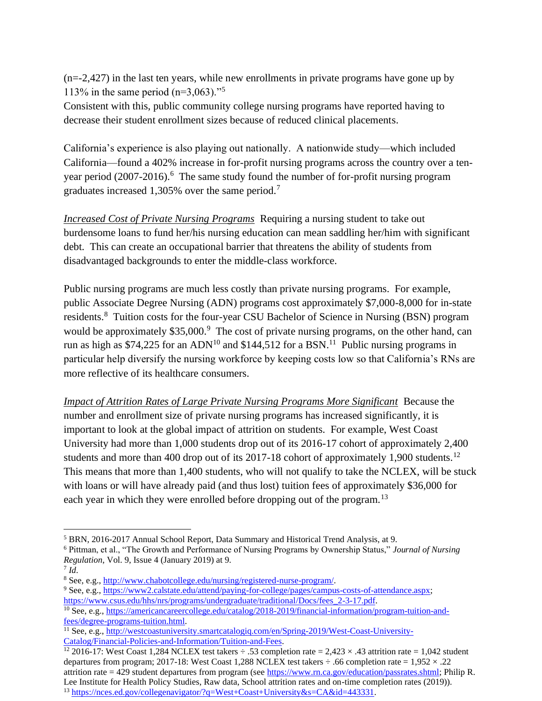(n=-2,427) in the last ten years, while new enrollments in private programs have gone up by 113% in the same period  $(n=3,063)$ ."<sup>5</sup>

Consistent with this, public community college nursing programs have reported having to decrease their student enrollment sizes because of reduced clinical placements.

California's experience is also playing out nationally. A nationwide study—which included California—found a 402% increase in for-profit nursing programs across the country over a tenyear period (2007-2016).<sup>6</sup> The same study found the number of for-profit nursing program graduates increased 1,305% over the same period.<sup>7</sup>

*Increased Cost of Private Nursing Programs* Requiring a nursing student to take out burdensome loans to fund her/his nursing education can mean saddling her/him with significant debt. This can create an occupational barrier that threatens the ability of students from disadvantaged backgrounds to enter the middle-class workforce.

Public nursing programs are much less costly than private nursing programs. For example, public Associate Degree Nursing (ADN) programs cost approximately \$7,000-8,000 for in-state residents.<sup>8</sup> Tuition costs for the four-year CSU Bachelor of Science in Nursing (BSN) program would be approximately \$35,000.<sup>9</sup> The cost of private nursing programs, on the other hand, can run as high as \$74,225 for an ADN<sup>10</sup> and \$144,512 for a BSN.<sup>11</sup> Public nursing programs in particular help diversify the nursing workforce by keeping costs low so that California's RNs are more reflective of its healthcare consumers.

*Impact of Attrition Rates of Large Private Nursing Programs More Significant* Because the number and enrollment size of private nursing programs has increased significantly, it is important to look at the global impact of attrition on students. For example, West Coast University had more than 1,000 students drop out of its 2016-17 cohort of approximately 2,400 students and more than 400 drop out of its 2017-18 cohort of approximately 1,900 students.<sup>12</sup> This means that more than 1,400 students, who will not qualify to take the NCLEX, will be stuck with loans or will have already paid (and thus lost) tuition fees of approximately \$36,000 for each year in which they were enrolled before dropping out of the program.<sup>13</sup>

<sup>12</sup> 2016-17: West Coast 1,284 NCLEX test takers  $\div$  .53 completion rate = 2,423  $\times$  .43 attrition rate = 1,042 student departures from program; 2017-18: West Coast 1,288 NCLEX test takers  $\div$  .66 completion rate = 1,952  $\times$  .22 attrition rate = 429 student departures from program (se[e https://www.rn.ca.gov/education/passrates.shtml;](https://www.rn.ca.gov/education/passrates.shtml) Philip R. Lee Institute for Health Policy Studies, Raw data, School attrition rates and on-time completion rates (2019)). <sup>13</sup> [https://nces.ed.gov/collegenavigator/?q=West+Coast+University&s=CA&id=443331.](https://nces.ed.gov/collegenavigator/?q=West+Coast+University&s=CA&id=443331)

<sup>5</sup> BRN, 2016-2017 Annual School Report, Data Summary and Historical Trend Analysis, at 9.

<sup>6</sup> Pittman, et al., "The Growth and Performance of Nursing Programs by Ownership Status," *Journal of Nursing Regulation*, Vol. 9, Issue 4 (January 2019) at 9.

<sup>7</sup> *Id*.

<sup>8</sup> See, e.g.[, http://www.chabotcollege.edu/nursing/registered-nurse-program/.](http://www.chabotcollege.edu/nursing/registered-nurse-program/)

<sup>&</sup>lt;sup>9</sup> See, e.g.[, https://www2.calstate.edu/attend/paying-for-college/pages/campus-costs-of-attendance.aspx;](https://www2.calstate.edu/attend/paying-for-college/pages/campus-costs-of-attendance.aspx)

[https://www.csus.edu/hhs/nrs/programs/undergraduate/traditional/Docs/fees\\_2-3-17.pdf.](https://www.csus.edu/hhs/nrs/programs/undergraduate/traditional/Docs/fees_2-3-17.pdf)

<sup>10</sup> See, e.g., [https://americancareercollege.edu/catalog/2018-2019/financial-information/program-tuition-and](https://americancareercollege.edu/catalog/2018-2019/financial-information/program-tuition-and-fees/degree-programs-tuition.html)[fees/degree-programs-tuition.html.](https://americancareercollege.edu/catalog/2018-2019/financial-information/program-tuition-and-fees/degree-programs-tuition.html)

<sup>&</sup>lt;sup>11</sup> See, e.g., [http://westcoastuniversity.smartcatalogiq.com/en/Spring-2019/West-Coast-University-](http://westcoastuniversity.smartcatalogiq.com/en/Spring-2019/West-Coast-University-Catalog/Financial-Policies-and-Information/Tuition-and-Fees)[Catalog/Financial-Policies-and-Information/Tuition-and-Fees.](http://westcoastuniversity.smartcatalogiq.com/en/Spring-2019/West-Coast-University-Catalog/Financial-Policies-and-Information/Tuition-and-Fees)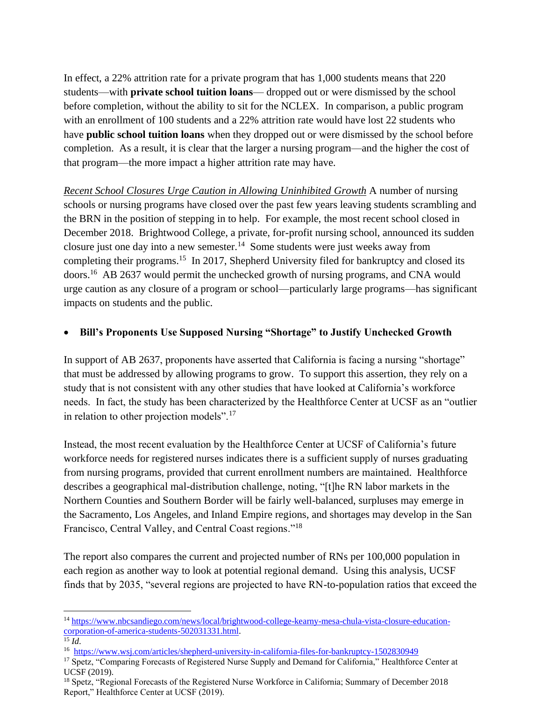In effect, a 22% attrition rate for a private program that has 1,000 students means that 220 students—with **private school tuition loans**— dropped out or were dismissed by the school before completion, without the ability to sit for the NCLEX. In comparison, a public program with an enrollment of 100 students and a 22% attrition rate would have lost 22 students who have **public school tuition loans** when they dropped out or were dismissed by the school before completion. As a result, it is clear that the larger a nursing program—and the higher the cost of that program—the more impact a higher attrition rate may have.

*Recent School Closures Urge Caution in Allowing Uninhibited Growth* A number of nursing schools or nursing programs have closed over the past few years leaving students scrambling and the BRN in the position of stepping in to help. For example, the most recent school closed in December 2018. Brightwood College, a private, for-profit nursing school, announced its sudden closure just one day into a new semester. $14$  Some students were just weeks away from completing their programs.<sup>15</sup> In 2017, Shepherd University filed for bankruptcy and closed its doors.<sup>16</sup> AB 2637 would permit the unchecked growth of nursing programs, and CNA would urge caution as any closure of a program or school—particularly large programs—has significant impacts on students and the public.

## • **Bill's Proponents Use Supposed Nursing "Shortage" to Justify Unchecked Growth**

In support of AB 2637, proponents have asserted that California is facing a nursing "shortage" that must be addressed by allowing programs to grow. To support this assertion, they rely on a study that is not consistent with any other studies that have looked at California's workforce needs. In fact, the study has been characterized by the Healthforce Center at UCSF as an "outlier in relation to other projection models".<sup>17</sup>

Instead, the most recent evaluation by the Healthforce Center at UCSF of California's future workforce needs for registered nurses indicates there is a sufficient supply of nurses graduating from nursing programs, provided that current enrollment numbers are maintained. Healthforce describes a geographical mal-distribution challenge, noting, "[t]he RN labor markets in the Northern Counties and Southern Border will be fairly well-balanced, surpluses may emerge in the Sacramento, Los Angeles, and Inland Empire regions, and shortages may develop in the San Francisco, Central Valley, and Central Coast regions."<sup>18</sup>

The report also compares the current and projected number of RNs per 100,000 population in each region as another way to look at potential regional demand. Using this analysis, UCSF finds that by 2035, "several regions are projected to have RN-to-population ratios that exceed the

<sup>14</sup> [https://www.nbcsandiego.com/news/local/brightwood-college-kearny-mesa-chula-vista-closure-education](https://www.nbcsandiego.com/news/local/brightwood-college-kearny-mesa-chula-vista-closure-education-corporation-of-america-students-502031331.html)[corporation-of-america-students-502031331.html.](https://www.nbcsandiego.com/news/local/brightwood-college-kearny-mesa-chula-vista-closure-education-corporation-of-america-students-502031331.html)

 $^{15}$  *Id*.

<sup>16</sup> <https://www.wsj.com/articles/shepherd-university-in-california-files-for-bankruptcy-1502830949>

<sup>&</sup>lt;sup>17</sup> Spetz, "Comparing Forecasts of Registered Nurse Supply and Demand for California," Healthforce Center at UCSF (2019).

<sup>&</sup>lt;sup>18</sup> Spetz, "Regional Forecasts of the Registered Nurse Workforce in California; Summary of December 2018 Report," Healthforce Center at UCSF (2019).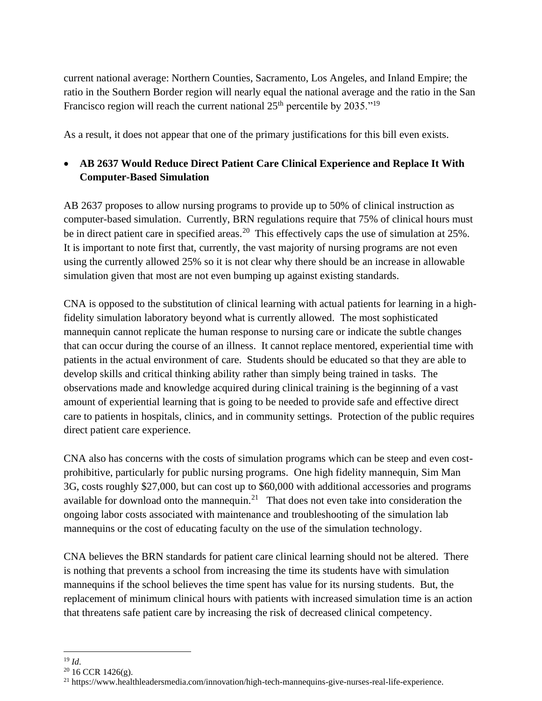current national average: Northern Counties, Sacramento, Los Angeles, and Inland Empire; the ratio in the Southern Border region will nearly equal the national average and the ratio in the San Francisco region will reach the current national  $25<sup>th</sup>$  percentile by  $2035.<sup>19</sup>$ 

As a result, it does not appear that one of the primary justifications for this bill even exists.

# • **AB 2637 Would Reduce Direct Patient Care Clinical Experience and Replace It With Computer-Based Simulation**

AB 2637 proposes to allow nursing programs to provide up to 50% of clinical instruction as computer-based simulation. Currently, BRN regulations require that 75% of clinical hours must be in direct patient care in specified areas.<sup>20</sup> This effectively caps the use of simulation at  $25\%$ . It is important to note first that, currently, the vast majority of nursing programs are not even using the currently allowed 25% so it is not clear why there should be an increase in allowable simulation given that most are not even bumping up against existing standards.

CNA is opposed to the substitution of clinical learning with actual patients for learning in a highfidelity simulation laboratory beyond what is currently allowed. The most sophisticated mannequin cannot replicate the human response to nursing care or indicate the subtle changes that can occur during the course of an illness. It cannot replace mentored, experiential time with patients in the actual environment of care. Students should be educated so that they are able to develop skills and critical thinking ability rather than simply being trained in tasks. The observations made and knowledge acquired during clinical training is the beginning of a vast amount of experiential learning that is going to be needed to provide safe and effective direct care to patients in hospitals, clinics, and in community settings. Protection of the public requires direct patient care experience.

CNA also has concerns with the costs of simulation programs which can be steep and even costprohibitive, particularly for public nursing programs. One high fidelity mannequin, Sim Man 3G, costs roughly \$27,000, but can cost up to \$60,000 with additional accessories and programs available for download onto the mannequin.<sup>21</sup> That does not even take into consideration the ongoing labor costs associated with maintenance and troubleshooting of the simulation lab mannequins or the cost of educating faculty on the use of the simulation technology.

CNA believes the BRN standards for patient care clinical learning should not be altered. There is nothing that prevents a school from increasing the time its students have with simulation mannequins if the school believes the time spent has value for its nursing students. But, the replacement of minimum clinical hours with patients with increased simulation time is an action that threatens safe patient care by increasing the risk of decreased clinical competency.

<sup>19</sup> *Id*.

<sup>&</sup>lt;sup>20</sup> 16 CCR 1426(g).

<sup>21</sup> https://www.healthleadersmedia.com/innovation/high-tech-mannequins-give-nurses-real-life-experience.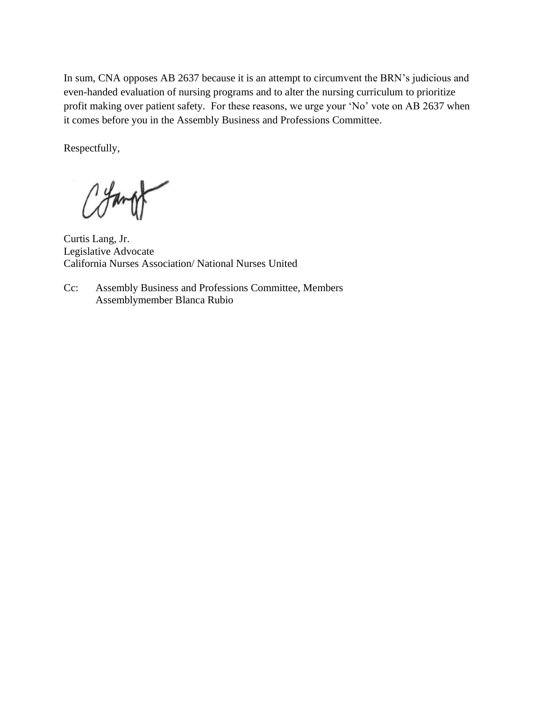In sum, CNA opposes AB 2637 because it is an attempt to circumvent the BRN's judicious and even-handed evaluation of nursing programs and to alter the nursing curriculum to prioritize profit making over patient safety. For these reasons, we urge your 'No' vote on AB 2637 when it comes before you in the Assembly Business and Professions Committee.

Respectfully,

Curtis Lang, Jr. Legislative Advocate California Nurses Association/ National Nurses United

Cc: Assembly Business and Professions Committee, Members Assemblymember Blanca Rubio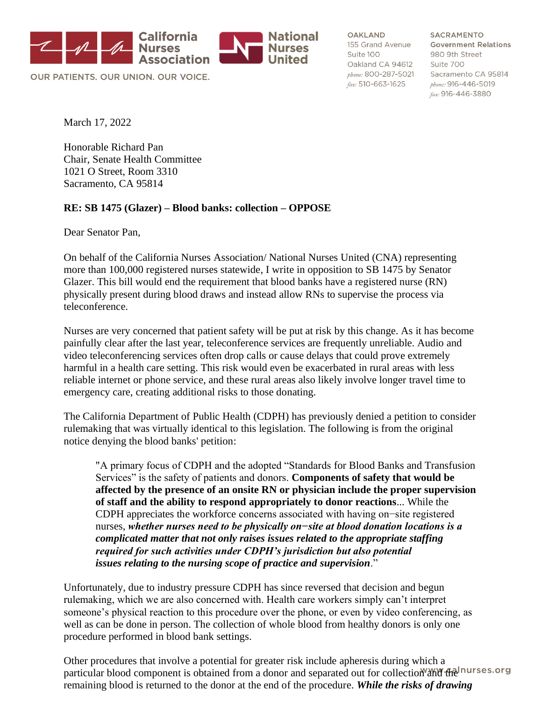

OUR PATIENTS, OUR UNION, OUR VOICE.

**OAKLAND** Suite 100 Oakland CA 94612 Suite 700 fax: 510-663-1625

**SACRAMENTO** 155 Grand Avenue Government Relations 980 9th Street phone: 800-287-5021 Sacramento CA 95814 phone: 916-446-5019 fax: 916-446-3880

March 17, 2022

Honorable Richard Pan Chair, Senate Health Committee 1021 O Street, Room 3310 Sacramento, CA 95814

### **RE: SB 1475 (Glazer) – Blood banks: collection – OPPOSE**

Dear Senator Pan,

On behalf of the California Nurses Association/ National Nurses United (CNA) representing more than 100,000 registered nurses statewide, I write in opposition to SB 1475 by Senator Glazer. This bill would end the requirement that blood banks have a registered nurse (RN) physically present during blood draws and instead allow RNs to supervise the process via teleconference.

Nurses are very concerned that patient safety will be put at risk by this change. As it has become painfully clear after the last year, teleconference services are frequently unreliable. Audio and video teleconferencing services often drop calls or cause delays that could prove extremely harmful in a health care setting. This risk would even be exacerbated in rural areas with less reliable internet or phone service, and these rural areas also likely involve longer travel time to emergency care, creating additional risks to those donating.

The California Department of Public Health (CDPH) has previously denied a petition to consider rulemaking that was virtually identical to this legislation. The following is from the original notice denying the blood banks' petition:

"A primary focus of CDPH and the adopted "Standards for Blood Banks and Transfusion Services" is the safety of patients and donors. **Components of safety that would be affected by the presence of an onsite RN or physician include the proper supervision of staff and the ability to respond appropriately to donor reactions**... While the CDPH appreciates the workforce concerns associated with having on−site registered nurses, *whether nurses need to be physically on−site at blood donation locations is a complicated matter that not only raises issues related to the appropriate staffing required for such activities under CDPH's jurisdiction but also potential issues relating to the nursing scope of practice and supervision*."

Unfortunately, due to industry pressure CDPH has since reversed that decision and begun rulemaking, which we are also concerned with. Health care workers simply can't interpret someone's physical reaction to this procedure over the phone, or even by video conferencing, as well as can be done in person. The collection of whole blood from healthy donors is only one procedure performed in blood bank settings.

Other procedures that involve a potential for greater risk include apheresis during which a particular blood component is obtained from a donor and separated out for collection and the nurses org remaining blood is returned to the donor at the end of the procedure. *While the risks of drawing*